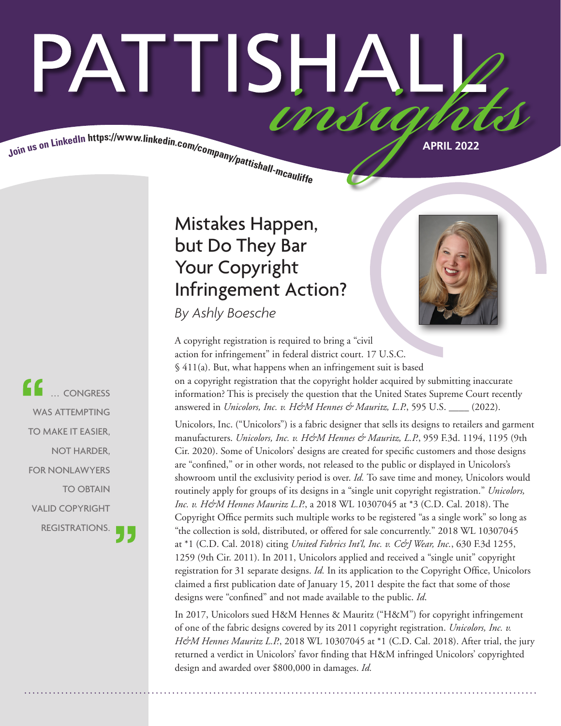# PATTISHAI Join us on LinkedIn https://www.linkedin.com/company/pattishall-mcautist.

Mistakes Happen, but Do They Bar Your Copyright Infringement Action?

*By Ashly Boesche*



A copyright registration is required to bring a "civil action for infringement" in federal district court. 17 U.S.C. § 411(a). But, what happens when an infringement suit is based on a copyright registration that the copyright holder acquired by submitting inaccurate information? This is precisely the question that the United States Supreme Court recently answered in *Unicolors, Inc. v. H&M Hennes & Mauritz, L.P.*, 595 U.S. \_\_\_\_ (2022).

Unicolors, Inc. ("Unicolors") is a fabric designer that sells its designs to retailers and garment manufacturers. *Unicolors, Inc. v. H&M Hennes & Mauritz, L.P.*, 959 F.3d. 1194, 1195 (9th Cir. 2020). Some of Unicolors' designs are created for specific customers and those designs are "confined," or in other words, not released to the public or displayed in Unicolors's showroom until the exclusivity period is over. *Id.* To save time and money, Unicolors would routinely apply for groups of its designs in a "single unit copyright registration." *Unicolors, Inc. v. H&M Hennes Mauritz L.P.*, a 2018 WL 10307045 at \*3 (C.D. Cal. 2018). The Copyright Office permits such multiple works to be registered "as a single work" so long as "the collection is sold, distributed, or offered for sale concurrently." 2018 WL 10307045 at \*1 (C.D. Cal. 2018) citing *United Fabrics Int'l, Inc. v. C&J Wear, Inc.*, 630 F.3d 1255, 1259 (9th Cir. 2011). In 2011, Unicolors applied and received a "single unit" copyright registration for 31 separate designs. *Id.* In its application to the Copyright Office, Unicolors claimed a first publication date of January 15, 2011 despite the fact that some of those designs were "confined" and not made available to the public. *Id*.

In 2017, Unicolors sued H&M Hennes & Mauritz ("H&M") for copyright infringement of one of the fabric designs covered by its 2011 copyright registration. *Unicolors, Inc. v. H&M Hennes Mauritz L.P.*, 2018 WL 10307045 at \*1 (C.D. Cal. 2018). After trial, the jury returned a verdict in Unicolors' favor finding that H&M infringed Unicolors' copyrighted design and awarded over \$800,000 in damages. *Id.* 

 ... CONGRESS WAS ATTEMPTING TO MAKE IT EASIER, NOT HARDER, FOR NONLAWYERS TO OBTAIN VALID COPYRIGHT REGISTRATIONS.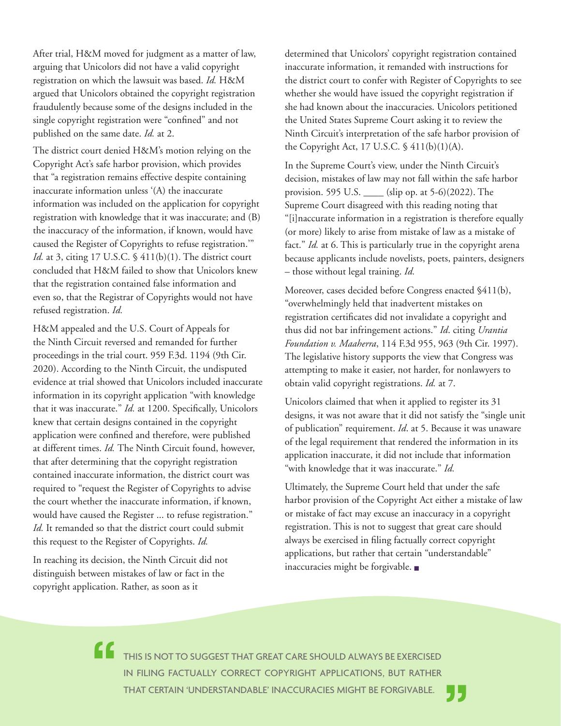After trial, H&M moved for judgment as a matter of law, arguing that Unicolors did not have a valid copyright registration on which the lawsuit was based. *Id.* H&M argued that Unicolors obtained the copyright registration fraudulently because some of the designs included in the single copyright registration were "confined" and not published on the same date. *Id.* at 2.

The district court denied H&M's motion relying on the Copyright Act's safe harbor provision, which provides that "a registration remains effective despite containing inaccurate information unless '(A) the inaccurate information was included on the application for copyright registration with knowledge that it was inaccurate; and (B) the inaccuracy of the information, if known, would have caused the Register of Copyrights to refuse registration.'" *Id.* at 3, citing 17 U.S.C. § 411(b)(1). The district court concluded that H&M failed to show that Unicolors knew that the registration contained false information and even so, that the Registrar of Copyrights would not have refused registration. *Id.*

H&M appealed and the U.S. Court of Appeals for the Ninth Circuit reversed and remanded for further proceedings in the trial court. 959 F.3d. 1194 (9th Cir. 2020). According to the Ninth Circuit, the undisputed evidence at trial showed that Unicolors included inaccurate information in its copyright application "with knowledge that it was inaccurate." *Id.* at 1200. Specifically, Unicolors knew that certain designs contained in the copyright application were confined and therefore, were published at different times. *Id.* The Ninth Circuit found, however, that after determining that the copyright registration contained inaccurate information, the district court was required to "request the Register of Copyrights to advise the court whether the inaccurate information, if known, would have caused the Register ... to refuse registration." *Id.* It remanded so that the district court could submit this request to the Register of Copyrights. *Id.* 

In reaching its decision, the Ninth Circuit did not distinguish between mistakes of law or fact in the copyright application. Rather, as soon as it

determined that Unicolors' copyright registration contained inaccurate information, it remanded with instructions for the district court to confer with Register of Copyrights to see whether she would have issued the copyright registration if she had known about the inaccuracies. Unicolors petitioned the United States Supreme Court asking it to review the Ninth Circuit's interpretation of the safe harbor provision of the Copyright Act, 17 U.S.C. § 411(b)(1)(A).

In the Supreme Court's view, under the Ninth Circuit's decision, mistakes of law may not fall within the safe harbor provision. 595 U.S. \_\_\_\_ (slip op. at 5-6)(2022). The Supreme Court disagreed with this reading noting that "[i]naccurate information in a registration is therefore equally (or more) likely to arise from mistake of law as a mistake of fact." *Id.* at 6. This is particularly true in the copyright arena because applicants include novelists, poets, painters, designers – those without legal training. *Id.* 

Moreover, cases decided before Congress enacted §411(b), "overwhelmingly held that inadvertent mistakes on registration certificates did not invalidate a copyright and thus did not bar infringement actions." *Id*. citing *Urantia Foundation v. Maaherra*, 114 F.3d 955, 963 (9th Cir. 1997). The legislative history supports the view that Congress was attempting to make it easier, not harder, for nonlawyers to obtain valid copyright registrations. *Id.* at 7.

Unicolors claimed that when it applied to register its 31 designs, it was not aware that it did not satisfy the "single unit of publication" requirement. *Id*. at 5. Because it was unaware of the legal requirement that rendered the information in its application inaccurate, it did not include that information "with knowledge that it was inaccurate." *Id.*

Ultimately, the Supreme Court held that under the safe harbor provision of the Copyright Act either a mistake of law or mistake of fact may excuse an inaccuracy in a copyright registration. This is not to suggest that great care should always be exercised in filing factually correct copyright applications, but rather that certain "understandable" inaccuracies might be forgivable. ■

THIS IS NOT TO SUGGEST THAT GREAT CARE SHOULD ALWAYS BE EXERCISED IN FILING FACTUALLY CORRECT COPYRIGHT APPLICATIONS, BUT RATHER THAT CERTAIN 'UNDERSTANDABLE' INACCURACIES MIGHT BE FORGIVABLE.

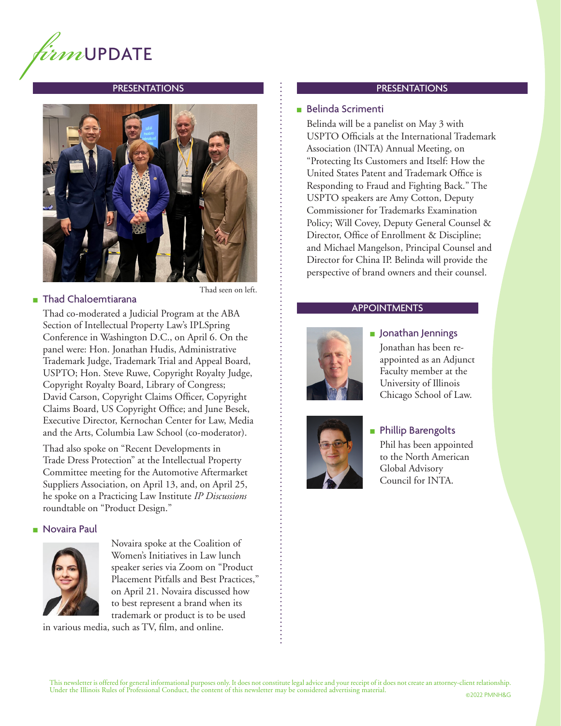

#### PRESENTATIONS



## ■ Thad Chaloemtiarana

Thad seen on left.

Thad co-moderated a Judicial Program at the ABA Section of Intellectual Property Law's IPLSpring Conference in Washington D.C., on April 6. On the panel were: Hon. Jonathan Hudis, Administrative Trademark Judge, Trademark Trial and Appeal Board, USPTO; Hon. Steve Ruwe, Copyright Royalty Judge, Copyright Royalty Board, Library of Congress; David Carson, Copyright Claims Officer, Copyright Claims Board, US Copyright Office; and June Besek, Executive Director, Kernochan Center for Law, Media and the Arts, Columbia Law School (co-moderator).

Thad also spoke on "Recent Developments in Trade Dress Protection" at the Intellectual Property Committee meeting for the Automotive Aftermarket Suppliers Association, on April 13, and, on April 25, he spoke on a Practicing Law Institute *IP Discussions* roundtable on "Product Design."

#### ■ Novaira Paul



Novaira spoke at the Coalition of Women's Initiatives in Law lunch speaker series via Zoom on "Product Placement Pitfalls and Best Practices," on April 21. Novaira discussed how to best represent a brand when its trademark or product is to be used

in various media, such as TV, film, and online.

#### PRESENTATIONS

#### ■ Belinda Scrimenti

Belinda will be a panelist on May 3 with USPTO Officials at the International Trademark Association (INTA) Annual Meeting, on "Protecting Its Customers and Itself: How the United States Patent and Trademark Office is Responding to Fraud and Fighting Back." The USPTO speakers are Amy Cotton, Deputy Commissioner for Trademarks Examination Policy; Will Covey, Deputy General Counsel & Director, Office of Enrollment & Discipline; and Michael Mangelson, Principal Counsel and Director for China IP. Belinda will provide the perspective of brand owners and their counsel.

#### APPOINTMENTS



## ■ Jonathan Jennings Jonathan has been reappointed as an Adjunct Faculty member at the University of Illinois Chicago School of Law.



■ Phillip Barengolts Phil has been appointed to the North American Global Advisory Council for INTA.

This newsletter is offered for general informational purposes only. It does not constitute legal advice and your receipt of it does not create an attorney-client relationship. Under the Illinois Rules of Professional Conduct, the content of this newsletter may be considered advertising material. ©2022 PMNH&G